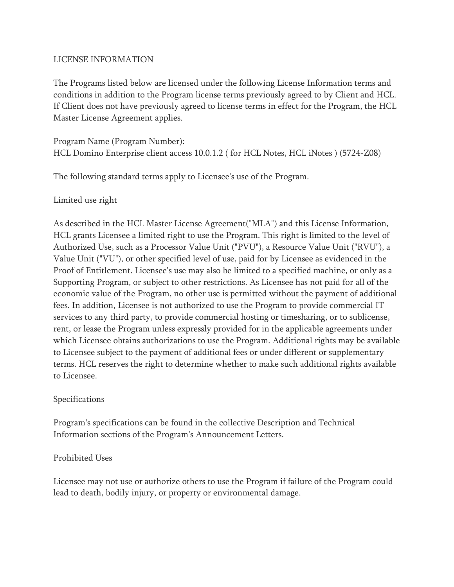#### LICENSE INFORMATION

The Programs listed below are licensed under the following License Information terms and conditions in addition to the Program license terms previously agreed to by Client and HCL. If Client does not have previously agreed to license terms in effect for the Program, the HCL Master License Agreement applies.

Program Name (Program Number): HCL Domino Enterprise client access 10.0.1.2 ( for HCL Notes, HCL iNotes ) (5724-Z08)

The following standard terms apply to Licensee's use of the Program.

## Limited use right

As described in the HCL Master License Agreement("MLA") and this License Information, HCL grants Licensee a limited right to use the Program. This right is limited to the level of Authorized Use, such as a Processor Value Unit ("PVU"), a Resource Value Unit ("RVU"), a Value Unit ("VU"), or other specified level of use, paid for by Licensee as evidenced in the Proof of Entitlement. Licensee's use may also be limited to a specified machine, or only as a Supporting Program, or subject to other restrictions. As Licensee has not paid for all of the economic value of the Program, no other use is permitted without the payment of additional fees. In addition, Licensee is not authorized to use the Program to provide commercial IT services to any third party, to provide commercial hosting or timesharing, or to sublicense, rent, or lease the Program unless expressly provided for in the applicable agreements under which Licensee obtains authorizations to use the Program. Additional rights may be available to Licensee subject to the payment of additional fees or under different or supplementary terms. HCL reserves the right to determine whether to make such additional rights available to Licensee.

#### Specifications

Program's specifications can be found in the collective Description and Technical Information sections of the Program's Announcement Letters.

# Prohibited Uses

Licensee may not use or authorize others to use the Program if failure of the Program could lead to death, bodily injury, or property or environmental damage.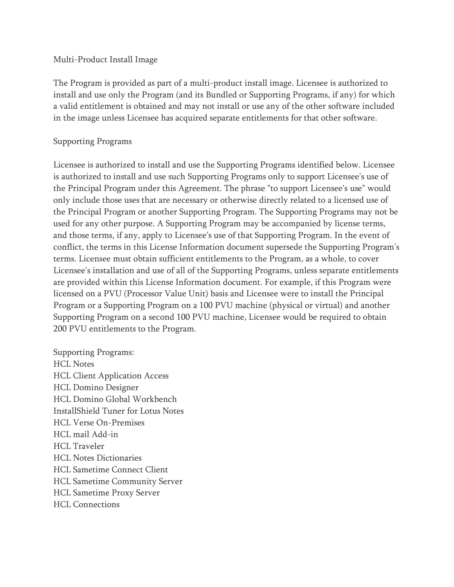#### Multi-Product Install Image

The Program is provided as part of a multi-product install image. Licensee is authorized to install and use only the Program (and its Bundled or Supporting Programs, if any) for which a valid entitlement is obtained and may not install or use any of the other software included in the image unless Licensee has acquired separate entitlements for that other software.

#### Supporting Programs

Licensee is authorized to install and use the Supporting Programs identified below. Licensee is authorized to install and use such Supporting Programs only to support Licensee's use of the Principal Program under this Agreement. The phrase "to support Licensee's use" would only include those uses that are necessary or otherwise directly related to a licensed use of the Principal Program or another Supporting Program. The Supporting Programs may not be used for any other purpose. A Supporting Program may be accompanied by license terms, and those terms, if any, apply to Licensee's use of that Supporting Program. In the event of conflict, the terms in this License Information document supersede the Supporting Program's terms. Licensee must obtain sufficient entitlements to the Program, as a whole, to cover Licensee's installation and use of all of the Supporting Programs, unless separate entitlements are provided within this License Information document. For example, if this Program were licensed on a PVU (Processor Value Unit) basis and Licensee were to install the Principal Program or a Supporting Program on a 100 PVU machine (physical or virtual) and another Supporting Program on a second 100 PVU machine, Licensee would be required to obtain 200 PVU entitlements to the Program.

Supporting Programs: HCL Notes HCL Client Application Access HCL Domino Designer HCL Domino Global Workbench InstallShield Tuner for Lotus Notes HCL Verse On-Premises HCL mail Add-in HCL Traveler HCL Notes Dictionaries HCL Sametime Connect Client HCL Sametime Community Server HCL Sametime Proxy Server HCL Connections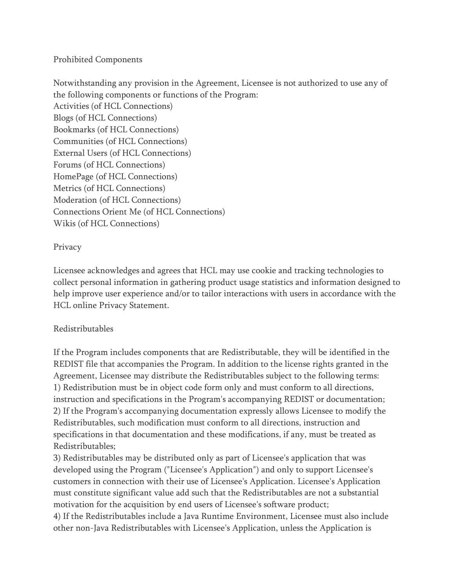## Prohibited Components

Notwithstanding any provision in the Agreement, Licensee is not authorized to use any of the following components or functions of the Program: Activities (of HCL Connections) Blogs (of HCL Connections) Bookmarks (of HCL Connections) Communities (of HCL Connections) External Users (of HCL Connections) Forums (of HCL Connections) HomePage (of HCL Connections) Metrics (of HCL Connections) Moderation (of HCL Connections) Connections Orient Me (of HCL Connections) Wikis (of HCL Connections)

## Privacy

Licensee acknowledges and agrees that HCL may use cookie and tracking technologies to collect personal information in gathering product usage statistics and information designed to help improve user experience and/or to tailor interactions with users in accordance with the HCL online Privacy Statement.

# Redistributables

If the Program includes components that are Redistributable, they will be identified in the REDIST file that accompanies the Program. In addition to the license rights granted in the Agreement, Licensee may distribute the Redistributables subject to the following terms: 1) Redistribution must be in object code form only and must conform to all directions, instruction and specifications in the Program's accompanying REDIST or documentation; 2) If the Program's accompanying documentation expressly allows Licensee to modify the Redistributables, such modification must conform to all directions, instruction and specifications in that documentation and these modifications, if any, must be treated as Redistributables;

3) Redistributables may be distributed only as part of Licensee's application that was developed using the Program ("Licensee's Application") and only to support Licensee's customers in connection with their use of Licensee's Application. Licensee's Application must constitute significant value add such that the Redistributables are not a substantial motivation for the acquisition by end users of Licensee's software product;

4) If the Redistributables include a Java Runtime Environment, Licensee must also include other non-Java Redistributables with Licensee's Application, unless the Application is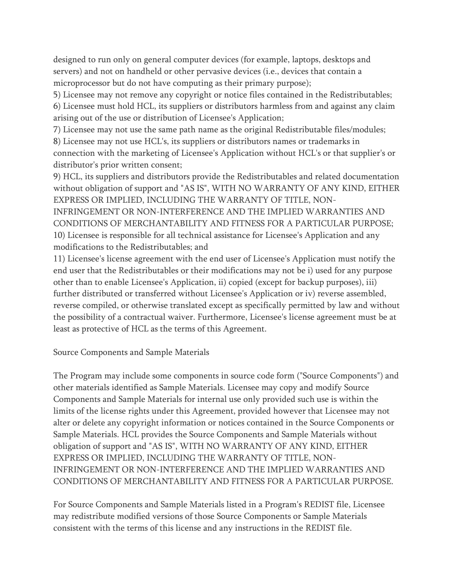designed to run only on general computer devices (for example, laptops, desktops and servers) and not on handheld or other pervasive devices (i.e., devices that contain a microprocessor but do not have computing as their primary purpose);

5) Licensee may not remove any copyright or notice files contained in the Redistributables;

6) Licensee must hold HCL, its suppliers or distributors harmless from and against any claim arising out of the use or distribution of Licensee's Application;

7) Licensee may not use the same path name as the original Redistributable files/modules;

8) Licensee may not use HCL's, its suppliers or distributors names or trademarks in connection with the marketing of Licensee's Application without HCL's or that supplier's or distributor's prior written consent;

9) HCL, its suppliers and distributors provide the Redistributables and related documentation without obligation of support and "AS IS", WITH NO WARRANTY OF ANY KIND, EITHER EXPRESS OR IMPLIED, INCLUDING THE WARRANTY OF TITLE, NON-

INFRINGEMENT OR NON-INTERFERENCE AND THE IMPLIED WARRANTIES AND CONDITIONS OF MERCHANTABILITY AND FITNESS FOR A PARTICULAR PURPOSE; 10) Licensee is responsible for all technical assistance for Licensee's Application and any modifications to the Redistributables; and

11) Licensee's license agreement with the end user of Licensee's Application must notify the end user that the Redistributables or their modifications may not be i) used for any purpose other than to enable Licensee's Application, ii) copied (except for backup purposes), iii) further distributed or transferred without Licensee's Application or iv) reverse assembled, reverse compiled, or otherwise translated except as specifically permitted by law and without the possibility of a contractual waiver. Furthermore, Licensee's license agreement must be at least as protective of HCL as the terms of this Agreement.

Source Components and Sample Materials

The Program may include some components in source code form ("Source Components") and other materials identified as Sample Materials. Licensee may copy and modify Source Components and Sample Materials for internal use only provided such use is within the limits of the license rights under this Agreement, provided however that Licensee may not alter or delete any copyright information or notices contained in the Source Components or Sample Materials. HCL provides the Source Components and Sample Materials without obligation of support and "AS IS", WITH NO WARRANTY OF ANY KIND, EITHER EXPRESS OR IMPLIED, INCLUDING THE WARRANTY OF TITLE, NON-INFRINGEMENT OR NON-INTERFERENCE AND THE IMPLIED WARRANTIES AND CONDITIONS OF MERCHANTABILITY AND FITNESS FOR A PARTICULAR PURPOSE.

For Source Components and Sample Materials listed in a Program's REDIST file, Licensee may redistribute modified versions of those Source Components or Sample Materials consistent with the terms of this license and any instructions in the REDIST file.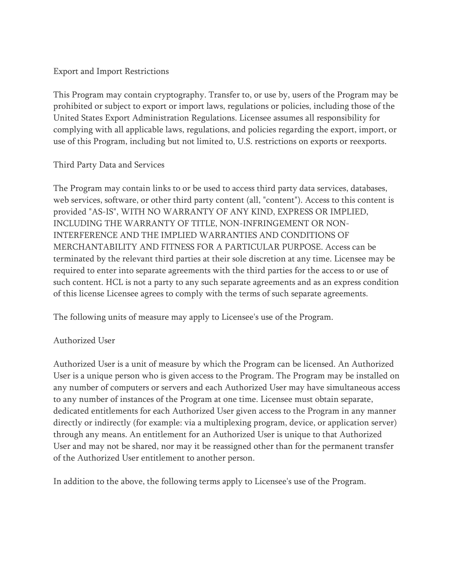#### Export and Import Restrictions

This Program may contain cryptography. Transfer to, or use by, users of the Program may be prohibited or subject to export or import laws, regulations or policies, including those of the United States Export Administration Regulations. Licensee assumes all responsibility for complying with all applicable laws, regulations, and policies regarding the export, import, or use of this Program, including but not limited to, U.S. restrictions on exports or reexports.

## Third Party Data and Services

The Program may contain links to or be used to access third party data services, databases, web services, software, or other third party content (all, "content"). Access to this content is provided "AS-IS", WITH NO WARRANTY OF ANY KIND, EXPRESS OR IMPLIED, INCLUDING THE WARRANTY OF TITLE, NON-INFRINGEMENT OR NON-INTERFERENCE AND THE IMPLIED WARRANTIES AND CONDITIONS OF MERCHANTABILITY AND FITNESS FOR A PARTICULAR PURPOSE. Access can be terminated by the relevant third parties at their sole discretion at any time. Licensee may be required to enter into separate agreements with the third parties for the access to or use of such content. HCL is not a party to any such separate agreements and as an express condition of this license Licensee agrees to comply with the terms of such separate agreements.

The following units of measure may apply to Licensee's use of the Program.

# Authorized User

Authorized User is a unit of measure by which the Program can be licensed. An Authorized User is a unique person who is given access to the Program. The Program may be installed on any number of computers or servers and each Authorized User may have simultaneous access to any number of instances of the Program at one time. Licensee must obtain separate, dedicated entitlements for each Authorized User given access to the Program in any manner directly or indirectly (for example: via a multiplexing program, device, or application server) through any means. An entitlement for an Authorized User is unique to that Authorized User and may not be shared, nor may it be reassigned other than for the permanent transfer of the Authorized User entitlement to another person.

In addition to the above, the following terms apply to Licensee's use of the Program.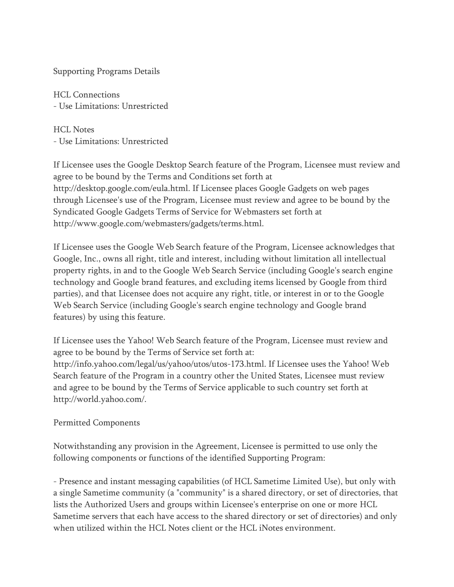Supporting Programs Details

HCL Connections - Use Limitations: Unrestricted

HCL Notes - Use Limitations: Unrestricted

If Licensee uses the Google Desktop Search feature of the Program, Licensee must review and agree to be bound by the Terms and Conditions set forth at http://desktop.google.com/eula.html. If Licensee places Google Gadgets on web pages through Licensee's use of the Program, Licensee must review and agree to be bound by the Syndicated Google Gadgets Terms of Service for Webmasters set forth at http://www.google.com/webmasters/gadgets/terms.html.

If Licensee uses the Google Web Search feature of the Program, Licensee acknowledges that Google, Inc., owns all right, title and interest, including without limitation all intellectual property rights, in and to the Google Web Search Service (including Google's search engine technology and Google brand features, and excluding items licensed by Google from third parties), and that Licensee does not acquire any right, title, or interest in or to the Google Web Search Service (including Google's search engine technology and Google brand features) by using this feature.

If Licensee uses the Yahoo! Web Search feature of the Program, Licensee must review and agree to be bound by the Terms of Service set forth at: http://info.yahoo.com/legal/us/yahoo/utos/utos-173.html. If Licensee uses the Yahoo! Web Search feature of the Program in a country other the United States, Licensee must review and agree to be bound by the Terms of Service applicable to such country set forth at http://world.yahoo.com/.

#### Permitted Components

Notwithstanding any provision in the Agreement, Licensee is permitted to use only the following components or functions of the identified Supporting Program:

- Presence and instant messaging capabilities (of HCL Sametime Limited Use), but only with a single Sametime community (a "community" is a shared directory, or set of directories, that lists the Authorized Users and groups within Licensee's enterprise on one or more HCL Sametime servers that each have access to the shared directory or set of directories) and only when utilized within the HCL Notes client or the HCL iNotes environment.